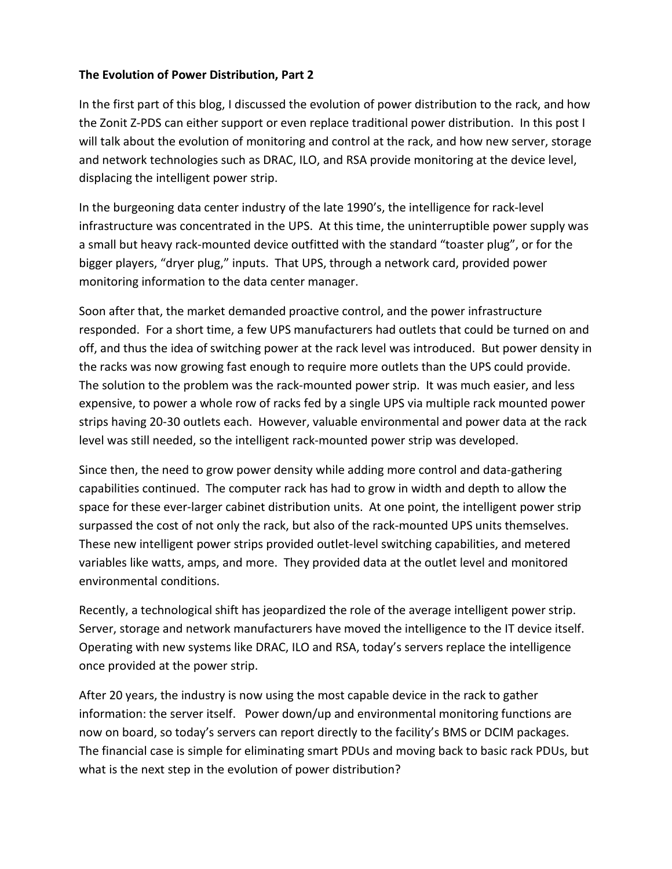## **The Evolution of Power Distribution, Part 2**

In the first part of this blog, I discussed the evolution of power distribution to the rack, and how the Zonit Z-PDS can either support or even replace traditional power distribution. In this post I will talk about the evolution of monitoring and control at the rack, and how new server, storage and network technologies such as DRAC, ILO, and RSA provide monitoring at the device level, displacing the intelligent power strip.

In the burgeoning data center industry of the late 1990's, the intelligence for rack-level infrastructure was concentrated in the UPS. At this time, the uninterruptible power supply was a small but heavy rack-mounted device outfitted with the standard "toaster plug", or for the bigger players, "dryer plug," inputs. That UPS, through a network card, provided power monitoring information to the data center manager.

Soon after that, the market demanded proactive control, and the power infrastructure responded. For a short time, a few UPS manufacturers had outlets that could be turned on and off, and thus the idea of switching power at the rack level was introduced. But power density in the racks was now growing fast enough to require more outlets than the UPS could provide. The solution to the problem was the rack-mounted power strip. It was much easier, and less expensive, to power a whole row of racks fed by a single UPS via multiple rack mounted power strips having 20-30 outlets each. However, valuable environmental and power data at the rack level was still needed, so the intelligent rack-mounted power strip was developed.

Since then, the need to grow power density while adding more control and data-gathering capabilities continued. The computer rack has had to grow in width and depth to allow the space for these ever-larger cabinet distribution units. At one point, the intelligent power strip surpassed the cost of not only the rack, but also of the rack-mounted UPS units themselves. These new intelligent power strips provided outlet-level switching capabilities, and metered variables like watts, amps, and more. They provided data at the outlet level and monitored environmental conditions.

Recently, a technological shift has jeopardized the role of the average intelligent power strip. Server, storage and network manufacturers have moved the intelligence to the IT device itself. Operating with new systems like DRAC, ILO and RSA, today's servers replace the intelligence once provided at the power strip.

After 20 years, the industry is now using the most capable device in the rack to gather information: the server itself. Power down/up and environmental monitoring functions are now on board, so today's servers can report directly to the facility's BMS or DCIM packages. The financial case is simple for eliminating smart PDUs and moving back to basic rack PDUs, but what is the next step in the evolution of power distribution?